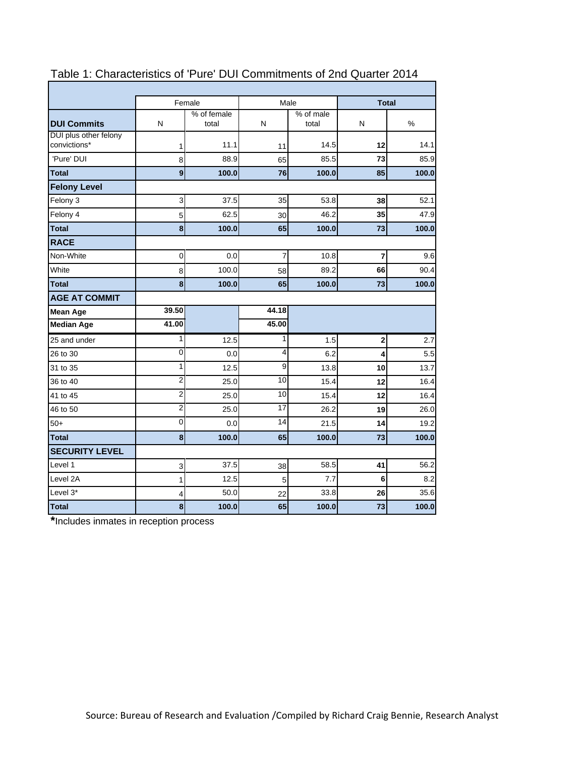|                                       | Female<br>Male |                                                 |                | <b>Total</b> |                |       |
|---------------------------------------|----------------|-------------------------------------------------|----------------|--------------|----------------|-------|
| <b>DUI Commits</b>                    | N              | % of female<br>% of male<br>N<br>total<br>total |                | N            | %              |       |
| DUI plus other felony<br>convictions* | 1              | 11.1                                            | 11             | 14.5         | 12             | 14.1  |
| 'Pure' DUI                            | 8              | 88.9                                            | 65             | 85.5         | 73             | 85.9  |
| <b>Total</b>                          | 9              | 100.0                                           | 76             | 100.0        | 85             | 100.0 |
| <b>Felony Level</b>                   |                |                                                 |                |              |                |       |
| Felony 3                              | 3              | 37.5                                            | 35             | 53.8         | 38             | 52.1  |
| Felony 4                              | 5              | 62.5                                            | 30             | 46.2         | 35             | 47.9  |
| <b>Total</b>                          | 8              | 100.0                                           | 65             | 100.0        | 73             | 100.0 |
| <b>RACE</b>                           |                |                                                 |                |              |                |       |
| Non-White                             | 0              | 0.0                                             | 7              | 10.8         | $\overline{7}$ | 9.6   |
| White                                 | 8              | 100.0                                           | 58             | 89.2         | 66             | 90.4  |
| <b>Total</b>                          | 8              | 100.0                                           | 65             | 100.0        | 73             | 100.0 |
| <b>AGE AT COMMIT</b>                  |                |                                                 |                |              |                |       |
| <b>Mean Age</b>                       | 39.50          |                                                 | 44.18          |              |                |       |
| <b>Median Age</b>                     | 41.00          |                                                 | 45.00          |              |                |       |
| 25 and under                          | 1              | 12.5                                            | 1              | 1.5          | $\bf{2}$       | 2.7   |
| 26 to 30                              | $\mathbf 0$    | 0.0                                             | 4              | 6.2          | 4              | 5.5   |
| 31 to 35                              | 1              | 12.5                                            | $\overline{9}$ | 13.8         | 10             | 13.7  |
| 36 to 40                              | $\overline{2}$ | 25.0                                            | 10             | 15.4         | 12             | 16.4  |
| 41 to 45                              | $\overline{c}$ | 25.0                                            | 10             | 15.4         | 12             | 16.4  |
| 46 to 50                              | $\overline{2}$ | 25.0                                            | 17             | 26.2         | 19             | 26.0  |
| $50+$                                 | $\overline{0}$ | 0.0                                             | 14             | 21.5         | 14             | 19.2  |
| <b>Total</b>                          | 8              | 100.0                                           | 65             | 100.0        | 73             | 100.0 |
| <b>SECURITY LEVEL</b>                 |                |                                                 |                |              |                |       |
| Level 1                               | 3              | 37.5                                            | 38             | 58.5         | 41             | 56.2  |
| Level 2A                              | 1              | 12.5                                            | 5              | 7.7          | 6              | 8.2   |
| Level 3*                              | 4              | 50.0                                            | 22             | 33.8         | 26             | 35.6  |
| <b>Total</b>                          | 8              | 100.0                                           | 65             | 100.0        | 73             | 100.0 |

# Table 1: Characteristics of 'Pure' DUI Commitments of 2nd Quarter 2014

**\***Includes inmates in reception process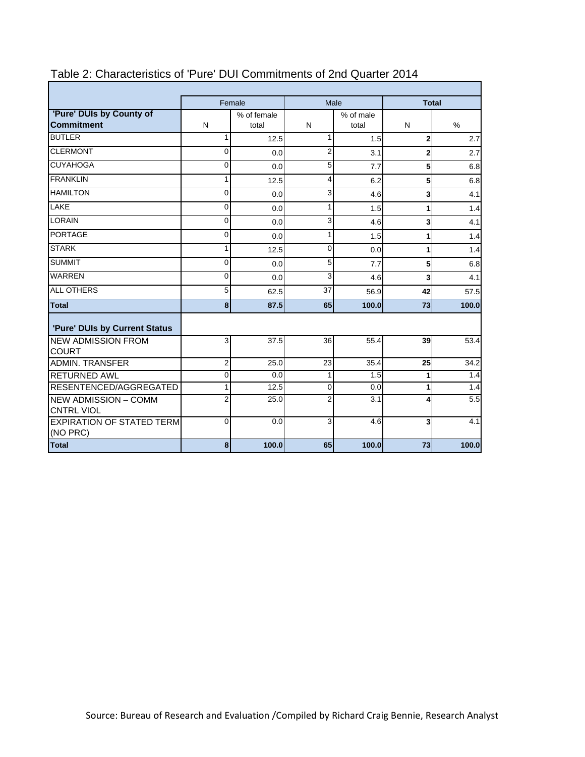|                                                  | Female<br>Male |                      |                | <b>Total</b>       |                         |       |  |
|--------------------------------------------------|----------------|----------------------|----------------|--------------------|-------------------------|-------|--|
| 'Pure' DUIs by County of<br><b>Commitment</b>    | N              | % of female<br>total | N              | % of male<br>total | N                       | %     |  |
| <b>BUTLER</b>                                    | 1              | 12.5                 | 1              | 1.5                | $\mathbf 2$             | 2.7   |  |
| <b>CLERMONT</b>                                  | $\Omega$       | 0.0                  | $\overline{2}$ | 3.1                | $\overline{2}$          | 2.7   |  |
| <b>CUYAHOGA</b>                                  | 0              | 0.0                  | 5              | 7.7                | 5                       | 6.8   |  |
| <b>FRANKLIN</b>                                  | 1              | 12.5                 | 4              | 6.2                | 5                       | 6.8   |  |
| <b>HAMILTON</b>                                  | $\overline{0}$ | 0.0                  | 3              | 4.6                | 3                       | 4.1   |  |
| LAKE                                             | $\mathbf 0$    | 0.0                  | $\mathbf{1}$   | 1.5                | 1                       | 1.4   |  |
| <b>LORAIN</b>                                    | 0              | 0.0                  | 3              | 4.6                | $\overline{\mathbf{3}}$ | 4.1   |  |
| <b>PORTAGE</b>                                   | $\mathbf{0}$   | 0.0                  | 1              | 1.5                | 1                       | 1.4   |  |
| <b>STARK</b>                                     | 1              | 12.5                 | $\Omega$       | 0.0                | 1                       | 1.4   |  |
| <b>SUMMIT</b>                                    | $\Omega$       | 0.0                  | 5              | 7.7                | 5                       | 6.8   |  |
| <b>WARREN</b>                                    | $\mathbf 0$    | 0.0                  | 3              | 4.6                | 3                       | 4.1   |  |
| <b>ALL OTHERS</b>                                | 5              | 62.5                 | 37             | 56.9               | 42                      | 57.5  |  |
| <b>Total</b>                                     | 8              | 87.5                 | 65             | 100.0              | 73                      | 100.0 |  |
| 'Pure' DUIs by Current Status                    |                |                      |                |                    |                         |       |  |
| <b>NEW ADMISSION FROM</b><br><b>COURT</b>        | 3              | 37.5                 | 36             | 55.4               | 39                      | 53.4  |  |
| <b>ADMIN. TRANSFER</b>                           | 2              | 25.0                 | 23             | 35.4               | 25                      | 34.2  |  |
| <b>RETURNED AWL</b>                              | $\mathbf 0$    | 0.0                  | $\mathbf{1}$   | 1.5                | 1                       | 1.4   |  |
| RESENTENCED/AGGREGATED                           | 1              | 12.5                 | $\Omega$       | 0.0                | 1                       | 1.4   |  |
| <b>NEW ADMISSION - COMM</b><br><b>CNTRL VIOL</b> | $\overline{2}$ | 25.0                 | $\overline{2}$ | 3.1                | 4                       | 5.5   |  |
| <b>EXPIRATION OF STATED TERM</b><br>(NO PRC)     | $\Omega$       | 0.0                  | 3              | 4.6                | 3                       | 4.1   |  |
| <b>Total</b>                                     | 8              | 100.0                | 65             | 100.0              | 73                      | 100.0 |  |

# Table 2: Characteristics of 'Pure' DUI Commitments of 2nd Quarter 2014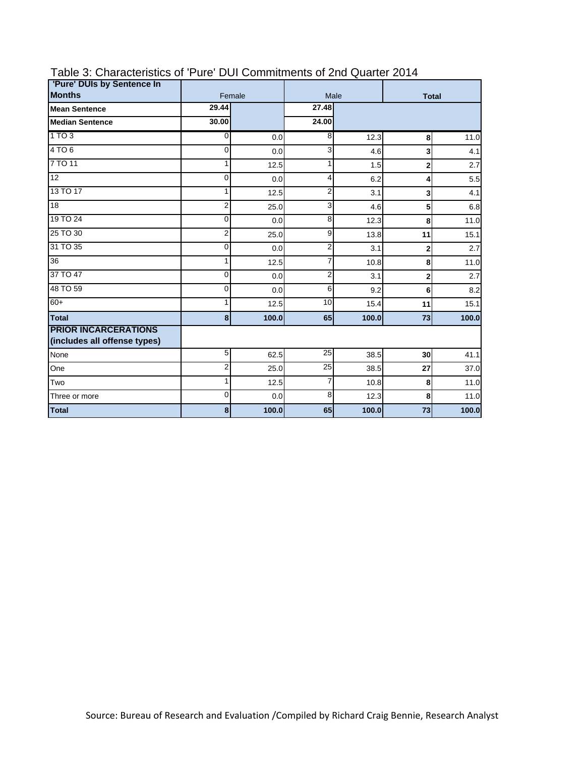| 'Pure' DUIs by Sentence In                                  |                |        |                |              |                         |       |
|-------------------------------------------------------------|----------------|--------|----------------|--------------|-------------------------|-------|
| <b>Months</b>                                               |                | Female | Male           | <b>Total</b> |                         |       |
| <b>Mean Sentence</b>                                        | 29.44          |        | 27.48          |              |                         |       |
| <b>Median Sentence</b>                                      | 30.00          |        | 24.00          |              |                         |       |
| 1TO3                                                        | 0              | 0.0    | 8              | 12.3         | 8                       | 11.0  |
| 4 TO 6                                                      | $\Omega$       | 0.0    | 3              | 4.6          | 3                       | 4.1   |
| 7 TO 11                                                     | 1              | 12.5   | 1              | 1.5          | $\overline{\mathbf{2}}$ | 2.7   |
| $\overline{12}$                                             | $\mathbf 0$    | 0.0    | $\overline{4}$ | 6.2          | 4                       | 5.5   |
| 13 TO 17                                                    | 1              | 12.5   | $\overline{2}$ | 3.1          | 3                       | 4.1   |
| 18                                                          | $\overline{2}$ | 25.0   | 3              | 4.6          | 5                       | 6.8   |
| 19 TO 24                                                    | $\Omega$       | 0.0    | 8              | 12.3         | 8                       | 11.0  |
| 25 TO 30                                                    | 2              | 25.0   | 9              | 13.8         | 11                      | 15.1  |
| 31 TO 35                                                    | $\Omega$       | 0.0    | 2              | 3.1          | $\overline{2}$          | 2.7   |
| 36                                                          | 1              | 12.5   | $\overline{7}$ | 10.8         | 8                       | 11.0  |
| 37 TO 47                                                    | $\Omega$       | 0.0    | $\overline{2}$ | 3.1          | 2                       | 2.7   |
| 48 TO 59                                                    | $\Omega$       | 0.0    | 6              | 9.2          | 6                       | 8.2   |
| $60+$                                                       | 1              | 12.5   | 10             | 15.4         | 11                      | 15.1  |
| <b>Total</b>                                                | 8              | 100.0  | 65             | 100.0        | 73                      | 100.0 |
| <b>PRIOR INCARCERATIONS</b><br>(includes all offense types) |                |        |                |              |                         |       |
| None                                                        | 5              | 62.5   | 25             | 38.5         | 30                      | 41.1  |
| One                                                         | 2              | 25.0   | 25             | 38.5         | 27                      | 37.0  |
| Two                                                         | 1              | 12.5   | $\overline{7}$ | 10.8         | 8                       | 11.0  |
| Three or more                                               | $\mathbf 0$    | 0.0    | 8              | 12.3         | 8                       | 11.0  |
| <b>Total</b>                                                | 8              | 100.0  | 65             | 100.0        | 73                      | 100.0 |

### Table 3: Characteristics of 'Pure' DUI Commitments of 2nd Quarter 2014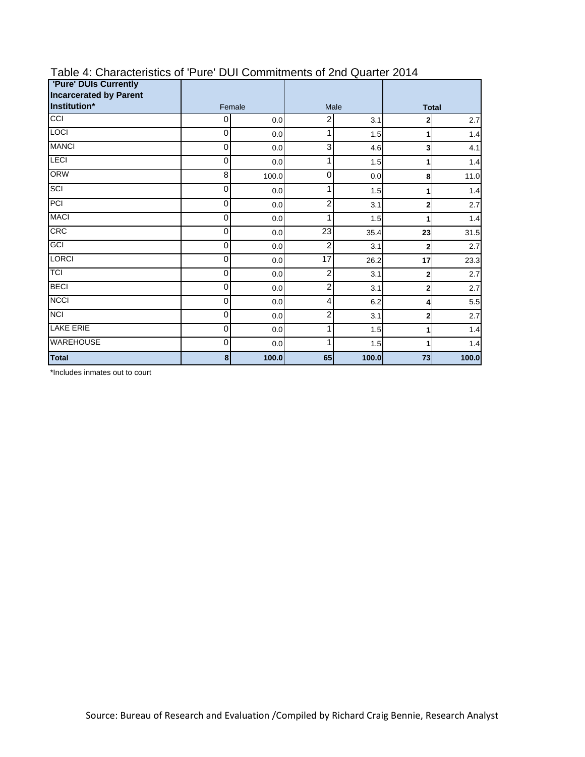| <b>'Pure' DUIs Currently</b><br><b>Incarcerated by Parent</b> |   |                |                 |              |                |       |
|---------------------------------------------------------------|---|----------------|-----------------|--------------|----------------|-------|
| Institution*                                                  |   | Female<br>Male |                 | <b>Total</b> |                |       |
| CCI                                                           | 0 | 0.0            | $\overline{c}$  | 3.1          | $\overline{2}$ | 2.7   |
| <b>LOCI</b>                                                   | 0 | 0.0            | 1               | 1.5          | 1              | 1.4   |
| <b>MANCI</b>                                                  | 0 | 0.0            | 3               | 4.6          | 3              | 4.1   |
| LECI                                                          | 0 | 0.0            | 1               | 1.5          | 1              | 1.4   |
| <b>ORW</b>                                                    | 8 | 100.0          | $\mathbf 0$     | 0.0          | 8              | 11.0  |
| SCI                                                           | 0 | 0.0            | 1               | 1.5          | 1              | 1.4   |
| PCI                                                           | 0 | 0.0            | 2               | 3.1          | $\overline{2}$ | 2.7   |
| <b>MACI</b>                                                   | 0 | 0.0            | 1               | 1.5          | 1              | 1.4   |
| <b>CRC</b>                                                    | 0 | 0.0            | $\overline{23}$ | 35.4         | 23             | 31.5  |
| GCI                                                           | 0 | 0.0            | $\overline{2}$  | 3.1          | $\overline{2}$ | 2.7   |
| <b>LORCI</b>                                                  | 0 | 0.0            | 17              | 26.2         | 17             | 23.3  |
| <b>TCI</b>                                                    | 0 | 0.0            | $\overline{c}$  | 3.1          | $\mathbf 2$    | 2.7   |
| <b>BECI</b>                                                   | 0 | 0.0            | $\overline{2}$  | 3.1          | $\overline{2}$ | 2.7   |
| <b>NCCI</b>                                                   | 0 | 0.0            | $\overline{4}$  | 6.2          | 4              | 5.5   |
| <b>NCI</b>                                                    | 0 | 0.0            | 2               | 3.1          | $\mathbf 2$    | 2.7   |
| <b>LAKE ERIE</b>                                              | 0 | 0.0            | 1               | 1.5          | 1              | 1.4   |
| <b>WAREHOUSE</b>                                              | 0 | 0.0            | 1               | 1.5          | 1              | 1.4   |
| <b>Total</b>                                                  | 8 | 100.0          | 65              | 100.0        | 73             | 100.0 |

### Table 4: Characteristics of 'Pure' DUI Commitments of 2nd Quarter 2014

\*Includes inmates out to court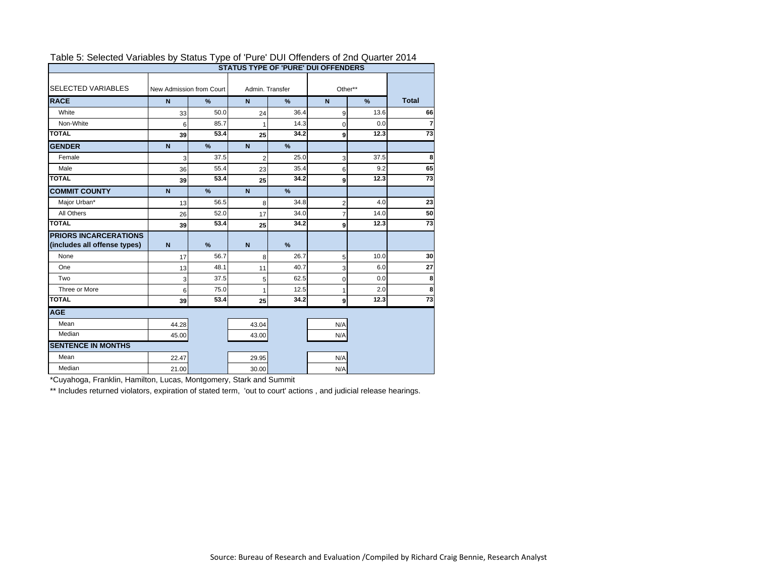| <b>STATUS TYPE OF 'PURE' DUI OFFENDERS</b> |             |                          |                 |               |                |               |                 |  |  |
|--------------------------------------------|-------------|--------------------------|-----------------|---------------|----------------|---------------|-----------------|--|--|
| <b>SELECTED VARIABLES</b>                  |             | New Admission from Court | Admin, Transfer |               | Other**        |               |                 |  |  |
| <b>RACE</b>                                | $\mathbf N$ | $\frac{9}{6}$            | $\mathbf N$     | $\frac{9}{6}$ | N              | $\frac{9}{6}$ | <b>Total</b>    |  |  |
| White                                      | 33          | 50.0                     | 24              | 36.4          | 9              | 13.6          | 66              |  |  |
| Non-White                                  | 6           | 85.7                     | 1               | 14.3          | $\mathbf 0$    | 0.0           | $\overline{7}$  |  |  |
| <b>TOTAL</b>                               | 39          | 53.4                     | 25              | 34.2          | 9              | 12.3          | 73              |  |  |
| <b>GENDER</b>                              | $\mathbf N$ | $\frac{9}{6}$            | $\mathbf N$     | %             |                |               |                 |  |  |
| Female                                     | 3           | 37.5                     | $\overline{2}$  | 25.0          | 3              | 37.5          | 8               |  |  |
| Male                                       | 36          | 55.4                     | 23              | 35.4          | 6              | 9.2           | 65              |  |  |
| <b>TOTAL</b>                               | 39          | 53.4                     | 25              | 34.2          | 9              | 12.3          | $\overline{73}$ |  |  |
| <b>COMMIT COUNTY</b>                       | $\mathbf N$ | %                        | $\overline{N}$  | %             |                |               |                 |  |  |
| Major Urban*                               | 13          | 56.5                     | 8               | 34.8          | $\overline{2}$ | 4.0           | 23              |  |  |
| All Others                                 | 26          | 52.0                     | 17              | 34.0          | $\overline{7}$ | 14.0          | 50              |  |  |
| <b>TOTAL</b>                               | 39          | 53.4                     | 25              | 34.2          | 9              | 12.3          | 73              |  |  |
| <b>PRIORS INCARCERATIONS</b>               |             |                          |                 |               |                |               |                 |  |  |
| (includes all offense types)               | $\mathbf N$ | $\frac{9}{6}$            | N               | %             |                |               |                 |  |  |
| None                                       | 17          | 56.7                     | 8               | 26.7          | 5              | 10.0          | 30              |  |  |
| One                                        | 13          | 48.1                     | 11              | 40.7          | 3              | 6.0           | 27              |  |  |
| Two                                        | 3           | 37.5                     | 5               | 62.5          | $\overline{0}$ | 0.0           | 8               |  |  |
| Three or More                              | 6           | 75.0                     | 1               | 12.5          | 1              | 2.0           | 8               |  |  |
| <b>TOTAL</b>                               | 39          | 53.4                     | 25              | 34.2          | 9              | 12.3          | 73              |  |  |
| <b>AGE</b>                                 |             |                          |                 |               |                |               |                 |  |  |
| Mean                                       | 44.28       |                          | 43.04           |               | N/A            |               |                 |  |  |
| Median                                     | 45.00       |                          | 43.00           |               | N/A            |               |                 |  |  |
| <b>SENTENCE IN MONTHS</b>                  |             |                          |                 |               |                |               |                 |  |  |
| Mean                                       | 22.47       |                          | 29.95           |               | N/A            |               |                 |  |  |
| Median                                     | 21.00       |                          | 30.00           |               | N/A            |               |                 |  |  |

#### Table 5: Selected Variables by Status Type of 'Pure' DUI Offenders of 2nd Quarter 2014

\*Cuyahoga, Franklin, Hamilton, Lucas, Montgomery, Stark and Summit

\*\* Includes returned violators, expiration of stated term, 'out to court' actions, and judicial release hearings.